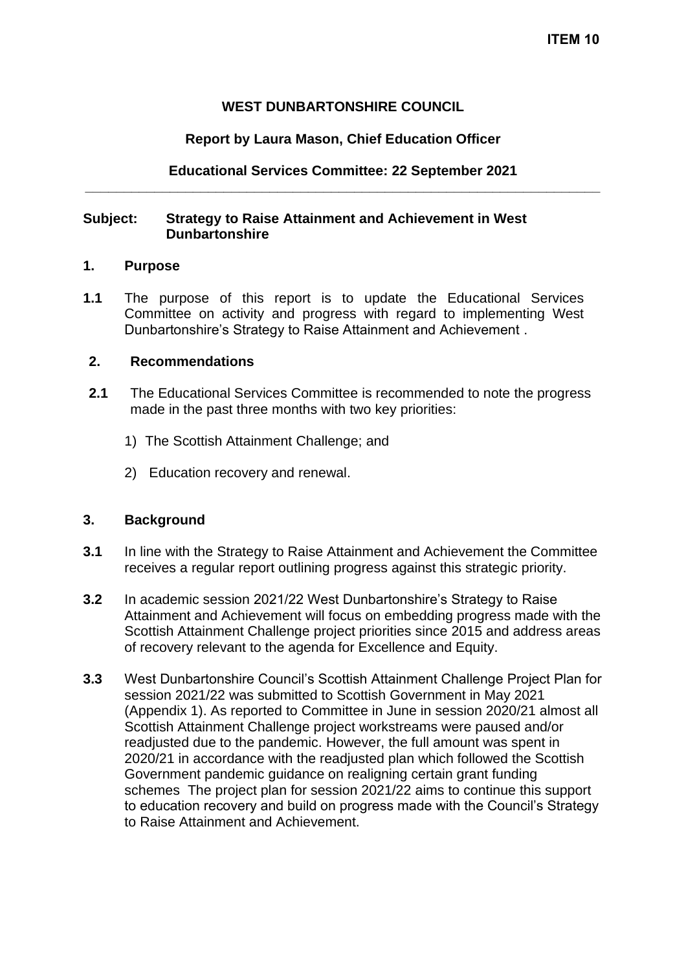## **WEST DUNBARTONSHIRE COUNCIL**

## **Report by Laura Mason, Chief Education Officer**

## **Educational Services Committee: 22 September 2021 \_\_\_\_\_\_\_\_\_\_\_\_\_\_\_\_\_\_\_\_\_\_\_\_\_\_\_\_\_\_\_\_\_\_\_\_\_\_\_\_\_\_\_\_\_\_\_\_\_\_\_\_\_\_\_\_\_\_\_\_\_\_\_\_\_\_\_**

## **Subject: Strategy to Raise Attainment and Achievement in West Dunbartonshire**

#### **1. Purpose**

**1.1** The purpose of this report is to update the Educational Services Committee on activity and progress with regard to implementing West Dunbartonshire's Strategy to Raise Attainment and Achievement .

#### **2. Recommendations**

- **2.1** The Educational Services Committee is recommended to note the progress made in the past three months with two key priorities:
	- 1) The Scottish Attainment Challenge; and
	- 2) Education recovery and renewal.

## **3. Background**

- **3.1** In line with the Strategy to Raise Attainment and Achievement the Committee receives a regular report outlining progress against this strategic priority.
- **3.2** In academic session 2021/22 West Dunbartonshire's Strategy to Raise Attainment and Achievement will focus on embedding progress made with the Scottish Attainment Challenge project priorities since 2015 and address areas of recovery relevant to the agenda for Excellence and Equity.
- **3.3** West Dunbartonshire Council's Scottish Attainment Challenge Project Plan for session 2021/22 was submitted to Scottish Government in May 2021 (Appendix 1). As reported to Committee in June in session 2020/21 almost all Scottish Attainment Challenge project workstreams were paused and/or readjusted due to the pandemic. However, the full amount was spent in 2020/21 in accordance with the readjusted plan which followed the Scottish Government pandemic guidance on realigning certain grant funding schemes The project plan for session 2021/22 aims to continue this support to education recovery and build on progress made with the Council's Strategy to Raise Attainment and Achievement.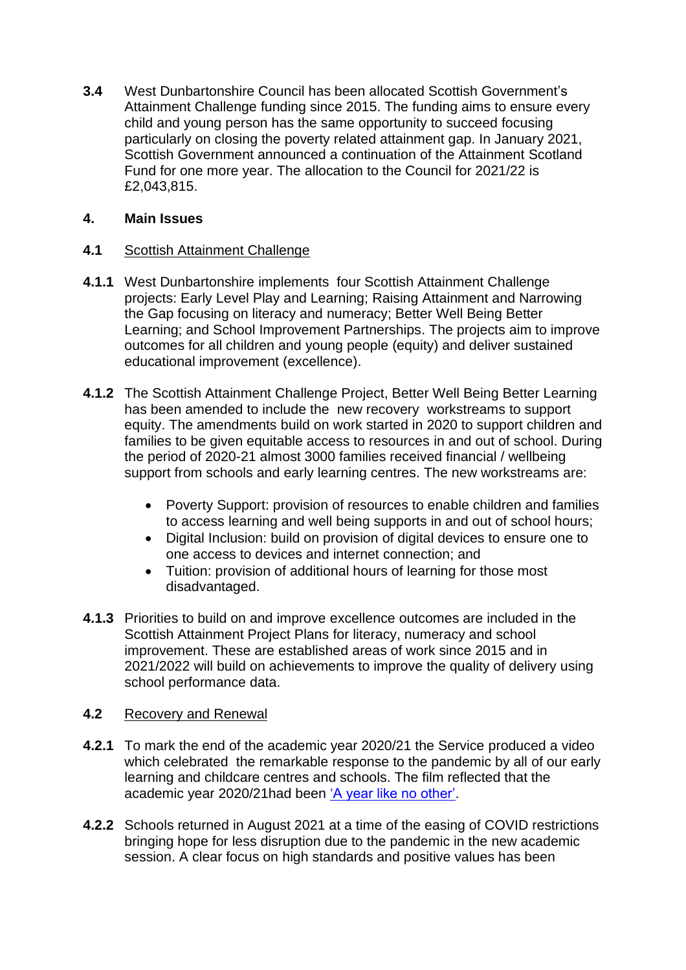**3.4** West Dunbartonshire Council has been allocated Scottish Government's Attainment Challenge funding since 2015. The funding aims to ensure every child and young person has the same opportunity to succeed focusing particularly on closing the poverty related attainment gap. In January 2021, Scottish Government announced a continuation of the Attainment Scotland Fund for one more year. The allocation to the Council for 2021/22 is £2,043,815.

## **4. Main Issues**

# **4.1** Scottish Attainment Challenge

- **4.1.1** West Dunbartonshire implements four Scottish Attainment Challenge projects: Early Level Play and Learning; Raising Attainment and Narrowing the Gap focusing on literacy and numeracy; Better Well Being Better Learning; and School Improvement Partnerships. The projects aim to improve outcomes for all children and young people (equity) and deliver sustained educational improvement (excellence).
- **4.1.2** The Scottish Attainment Challenge Project, Better Well Being Better Learning has been amended to include the new recovery workstreams to support equity. The amendments build on work started in 2020 to support children and families to be given equitable access to resources in and out of school. During the period of 2020-21 almost 3000 families received financial / wellbeing support from schools and early learning centres. The new workstreams are:
	- Poverty Support: provision of resources to enable children and families to access learning and well being supports in and out of school hours;
	- Digital Inclusion: build on provision of digital devices to ensure one to one access to devices and internet connection; and
	- Tuition: provision of additional hours of learning for those most disadvantaged.
- **4.1.3** Priorities to build on and improve excellence outcomes are included in the Scottish Attainment Project Plans for literacy, numeracy and school improvement. These are established areas of work since 2015 and in 2021/2022 will build on achievements to improve the quality of delivery using school performance data.

## **4.2** Recovery and Renewal

- **4.2.1** To mark the end of the academic year 2020/21 the Service produced a video which celebrated the remarkable response to the pandemic by all of our early learning and childcare centres and schools. The film reflected that the academic year 2020/21had been ['A year like no other'.](https://youtu.be/Gsd0KzZcBqk)
- **4.2.2** Schools returned in August 2021 at a time of the easing of COVID restrictions bringing hope for less disruption due to the pandemic in the new academic session. A clear focus on high standards and positive values has been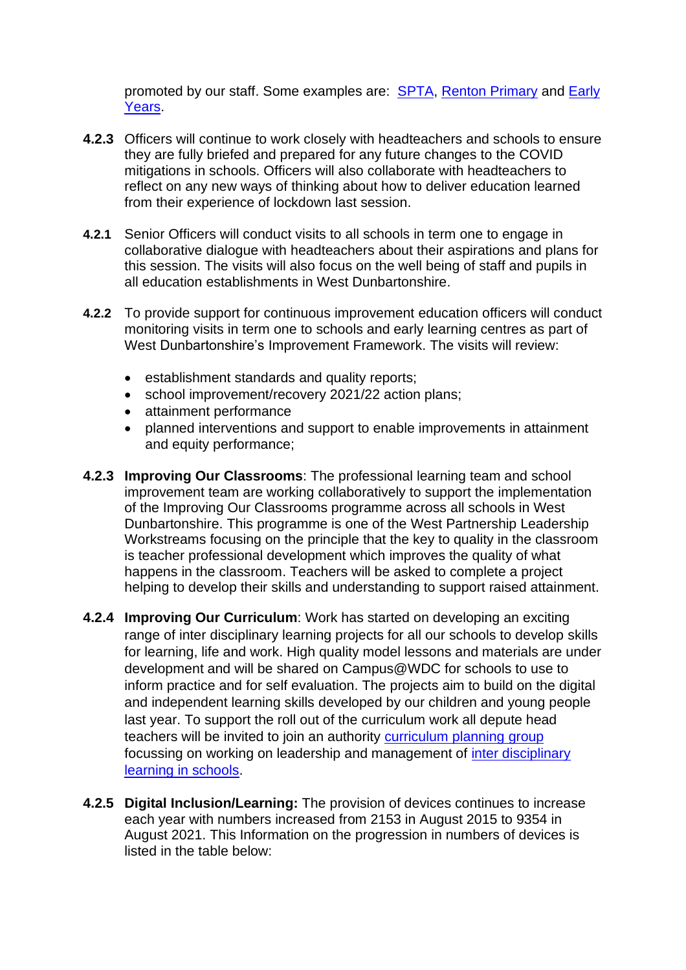promoted by our staff. Some examples are: **[SPTA,](https://youtu.be/rIj_GahwCB8) Renton [Primary](https://drive.google.com/file/d/16p1dcthJQ5z8ZPLTb8MuMiu6ZfOCxNG_/view?usp=sharing) and Early** [Years.](https://drive.google.com/file/d/1yFcBN9SHpJp7XrdUWHN8jOCjv9tJOmEf/view?usp=sharing)

- **4.2.3** Officers will continue to work closely with headteachers and schools to ensure they are fully briefed and prepared for any future changes to the COVID mitigations in schools. Officers will also collaborate with headteachers to reflect on any new ways of thinking about how to deliver education learned from their experience of lockdown last session.
- **4.2.1** Senior Officers will conduct visits to all schools in term one to engage in collaborative dialogue with headteachers about their aspirations and plans for this session. The visits will also focus on the well being of staff and pupils in all education establishments in West Dunbartonshire.
- **4.2.2** To provide support for continuous improvement education officers will conduct monitoring visits in term one to schools and early learning centres as part of West Dunbartonshire's Improvement Framework. The visits will review:
	- establishment standards and quality reports;
	- school improvement/recovery 2021/22 action plans:
	- attainment performance
	- planned interventions and support to enable improvements in attainment and equity performance;
- **4.2.3 Improving Our Classrooms**: The professional learning team and school improvement team are working collaboratively to support the implementation of the Improving Our Classrooms programme across all schools in West Dunbartonshire. This programme is one of the West Partnership Leadership Workstreams focusing on the principle that the key to quality in the classroom is teacher professional development which improves the quality of what happens in the classroom. Teachers will be asked to complete a project helping to develop their skills and understanding to support raised attainment.
- **4.2.4 Improving Our Curriculum**: Work has started on developing an exciting range of inter disciplinary learning projects for all our schools to develop skills for learning, life and work. High quality model lessons and materials are under development and will be shared on Campus@WDC for schools to use to inform practice and for self evaluation. The projects aim to build on the digital and independent learning skills developed by our children and young people last year. To support the roll out of the curriculum work all depute head teachers will be invited to join an authority [curriculum planning group](https://www.designingforlearning.co.uk/wdcleadingidl.html) focussing on working on leadership and management of [inter disciplinary](https://www.designingforlearning.co.uk/onlinetraining.html)  [learning in schools.](https://www.designingforlearning.co.uk/onlinetraining.html)
- **4.2.5 Digital Inclusion/Learning:** The provision of devices continues to increase each year with numbers increased from 2153 in August 2015 to 9354 in August 2021. This Information on the progression in numbers of devices is listed in the table below: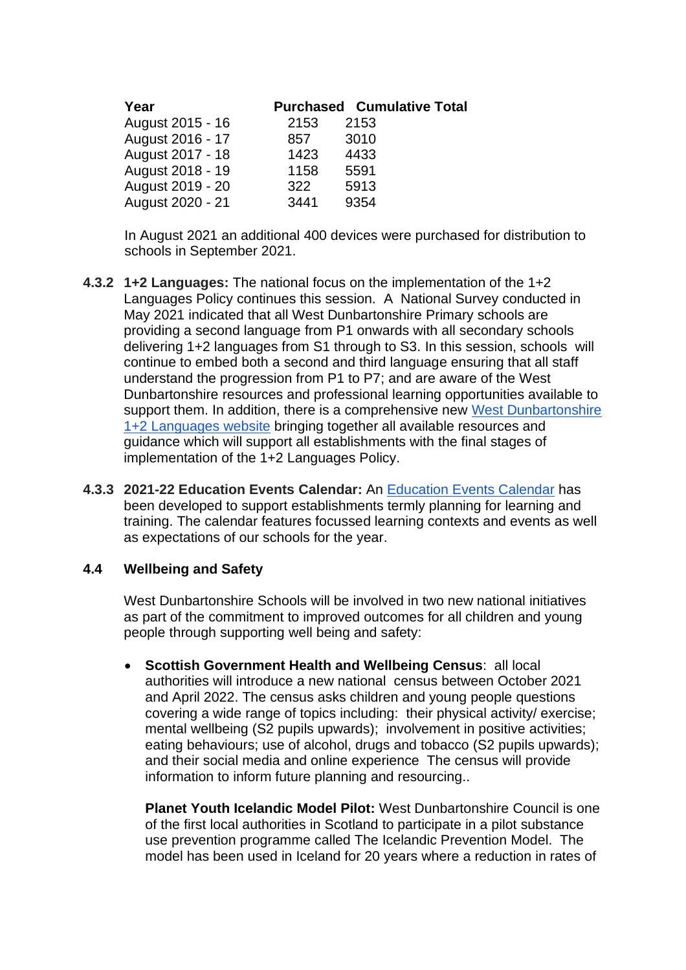| Year             |      | <b>Purchased Cumulative Total</b> |
|------------------|------|-----------------------------------|
| August 2015 - 16 | 2153 | 2153                              |
| August 2016 - 17 | 857  | 3010                              |
| August 2017 - 18 | 1423 | 4433                              |
| August 2018 - 19 | 1158 | 5591                              |
| August 2019 - 20 | 322  | 5913                              |
| August 2020 - 21 | 3441 | 9354                              |

In August 2021 an additional 400 devices were purchased for distribution to schools in September 2021.

- **4.3.2 1+2 Languages:** The national focus on the implementation of the 1+2 Languages Policy continues this session. A National Survey conducted in May 2021 indicated that all West Dunbartonshire Primary schools are providing a second language from P1 onwards with all secondary schools delivering 1+2 languages from S1 through to S3. In this session, schools will continue to embed both a second and third language ensuring that all staff understand the progression from P1 to P7; and are aware of the West Dunbartonshire resources and professional learning opportunities available to support them. In addition, there is a comprehensive new West Dunbartonshire [1+2 Languages website](https://sites.google.com/d/0B5A8NxC-atUpRWYxWnVEdnozOXc/p/0B5A8NxC-atUpQTM1aVU4bzJXQVk/edit?resourcekey=0-yOYkQOmTTqkikQsFlKl0JQ) bringing together all available resources and guidance which will support all establishments with the final stages of implementation of the 1+2 Languages Policy.
- **4.3.3 2021-22 Education Events Calendar:** An [Education Events Calendar](https://drive.google.com/file/d/1tR3QM0OjiZr3VE1Z8i0uL9u9fA_3NVa7/view?usp=sharing) has been developed to support establishments termly planning for learning and training. The calendar features focussed learning contexts and events as well as expectations of our schools for the year.

## **4.4 Wellbeing and Safety**

West Dunbartonshire Schools will be involved in two new national initiatives as part of the commitment to improved outcomes for all children and young people through supporting well being and safety:

• **Scottish Government Health and Wellbeing Census**: all local authorities will introduce a new national census between October 2021 and April 2022. The census asks children and young people questions covering a wide range of topics including: their physical activity/ exercise; mental wellbeing (S2 pupils upwards); involvement in positive activities; eating behaviours; use of alcohol, drugs and tobacco (S2 pupils upwards); and their social media and online experience The census will provide information to inform future planning and resourcing..

**Planet Youth Icelandic Model Pilot:** West Dunbartonshire Council is one of the first local authorities in Scotland to participate in a pilot substance use prevention programme called The Icelandic Prevention Model. The model has been used in Iceland for 20 years where a reduction in rates of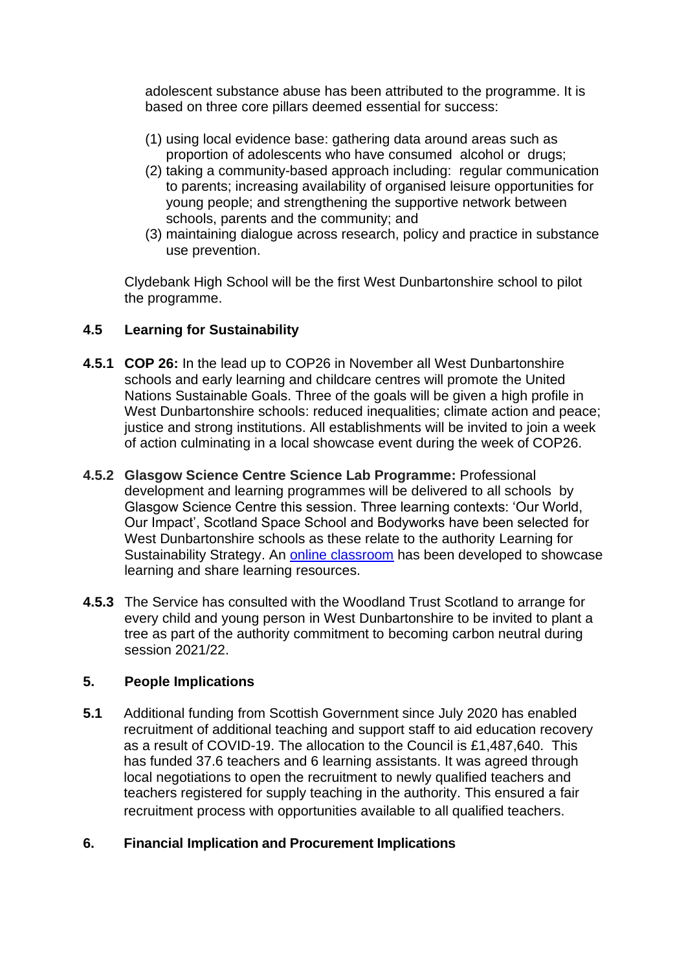adolescent substance abuse has been attributed to the programme. It is based on three core pillars deemed essential for success:

- (1) using local evidence base: gathering data around areas such as proportion of adolescents who have consumed alcohol or drugs;
- (2) taking a community-based approach including: regular communication to parents; increasing availability of organised leisure opportunities for young people; and strengthening the supportive network between schools, parents and the community; and
- (3) maintaining dialogue across research, policy and practice in substance use prevention.

Clydebank High School will be the first West Dunbartonshire school to pilot the programme.

## **4.5 Learning for Sustainability**

- **4.5.1 COP 26:** In the lead up to COP26 in November all West Dunbartonshire schools and early learning and childcare centres will promote the United Nations Sustainable Goals. Three of the goals will be given a high profile in West Dunbartonshire schools: reduced inequalities; climate action and peace; justice and strong institutions. All establishments will be invited to join a week of action culminating in a local showcase event during the week of COP26.
- **4.5.2 Glasgow Science Centre Science Lab Programme:** Professional development and learning programmes will be delivered to all schools by Glasgow Science Centre this session. Three learning contexts: 'Our World, Our Impact', Scotland Space School and Bodyworks have been selected for West Dunbartonshire schools as these relate to the authority Learning for Sustainability Strategy. An [online classroom](https://sites.google.com/ourcloud.buzz/wdclearninglab/) has been developed to showcase learning and share learning resources.
- **4.5.3** The Service has consulted with the Woodland Trust Scotland to arrange for every child and young person in West Dunbartonshire to be invited to plant a tree as part of the authority commitment to becoming carbon neutral during session 2021/22.

## **5. People Implications**

**5.1** Additional funding from Scottish Government since July 2020 has enabled recruitment of additional teaching and support staff to aid education recovery as a result of COVID-19. The allocation to the Council is £1,487,640. This has funded 37.6 teachers and 6 learning assistants. It was agreed through local negotiations to open the recruitment to newly qualified teachers and teachers registered for supply teaching in the authority. This ensured a fair recruitment process with opportunities available to all qualified teachers.

## **6. Financial Implication and Procurement Implications**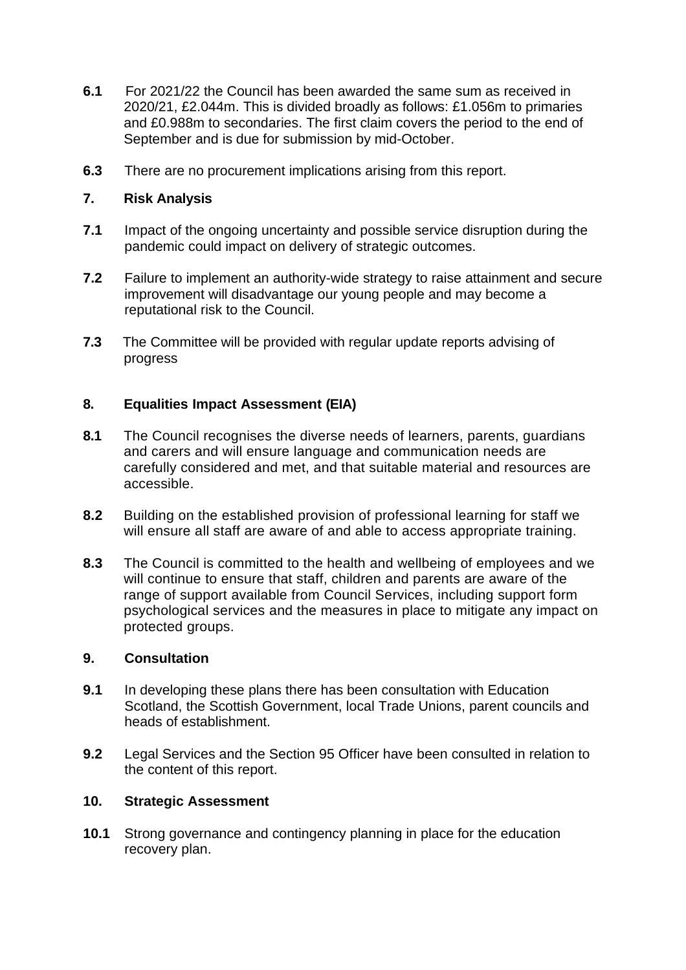- **6.1** For 2021/22 the Council has been awarded the same sum as received in 2020/21, £2.044m. This is divided broadly as follows: £1.056m to primaries and £0.988m to secondaries. The first claim covers the period to the end of September and is due for submission by mid-October.
- **6.3** There are no procurement implications arising from this report.

## **7. Risk Analysis**

- **7.1** Impact of the ongoing uncertainty and possible service disruption during the pandemic could impact on delivery of strategic outcomes.
- **7.2** Failure to implement an authority-wide strategy to raise attainment and secure improvement will disadvantage our young people and may become a reputational risk to the Council.
- **7.3** The Committee will be provided with regular update reports advising of progress

## **8. Equalities Impact Assessment (EIA)**

- **8.1** The Council recognises the diverse needs of learners, parents, guardians and carers and will ensure language and communication needs are carefully considered and met, and that suitable material and resources are accessible.
- **8.2** Building on the established provision of professional learning for staff we will ensure all staff are aware of and able to access appropriate training.
- **8.3** The Council is committed to the health and wellbeing of employees and we will continue to ensure that staff, children and parents are aware of the range of support available from Council Services, including support form psychological services and the measures in place to mitigate any impact on protected groups.

## **9. Consultation**

- **9.1** In developing these plans there has been consultation with Education Scotland, the Scottish Government, local Trade Unions, parent councils and heads of establishment.
- **9.2** Legal Services and the Section 95 Officer have been consulted in relation to the content of this report.

## **10. Strategic Assessment**

**10.1** Strong governance and contingency planning in place for the education recovery plan.